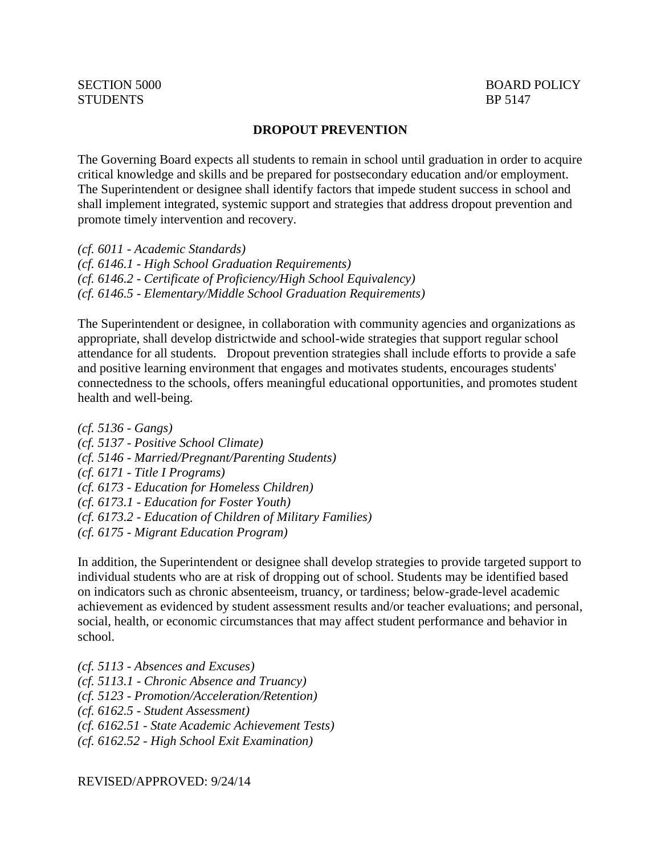## **DROPOUT PREVENTION**

The Governing Board expects all students to remain in school until graduation in order to acquire critical knowledge and skills and be prepared for postsecondary education and/or employment. The Superintendent or designee shall identify factors that impede student success in school and shall implement integrated, systemic support and strategies that address dropout prevention and promote timely intervention and recovery.

*(cf. 6011 - Academic Standards) (cf. 6146.1 - High School Graduation Requirements) (cf. 6146.2 - Certificate of Proficiency/High School Equivalency) (cf. 6146.5 - Elementary/Middle School Graduation Requirements)*

The Superintendent or designee, in collaboration with community agencies and organizations as appropriate, shall develop districtwide and school-wide strategies that support regular school attendance for all students. Dropout prevention strategies shall include efforts to provide a safe and positive learning environment that engages and motivates students, encourages students' connectedness to the schools, offers meaningful educational opportunities, and promotes student health and well-being.

*(cf. 5136 - Gangs) (cf. 5137 - Positive School Climate) (cf. 5146 - Married/Pregnant/Parenting Students) (cf. 6171 - Title I Programs) (cf. 6173 - Education for Homeless Children) (cf. 6173.1 - Education for Foster Youth) (cf. 6173.2 - Education of Children of Military Families) (cf. 6175 - Migrant Education Program)*

In addition, the Superintendent or designee shall develop strategies to provide targeted support to individual students who are at risk of dropping out of school. Students may be identified based on indicators such as chronic absenteeism, truancy, or tardiness; below-grade-level academic achievement as evidenced by student assessment results and/or teacher evaluations; and personal, social, health, or economic circumstances that may affect student performance and behavior in school.

*(cf. 5113 - Absences and Excuses) (cf. 5113.1 - Chronic Absence and Truancy) (cf. 5123 - Promotion/Acceleration/Retention) (cf. 6162.5 - Student Assessment) (cf. 6162.51 - State Academic Achievement Tests) (cf. 6162.52 - High School Exit Examination)*

REVISED/APPROVED: 9/24/14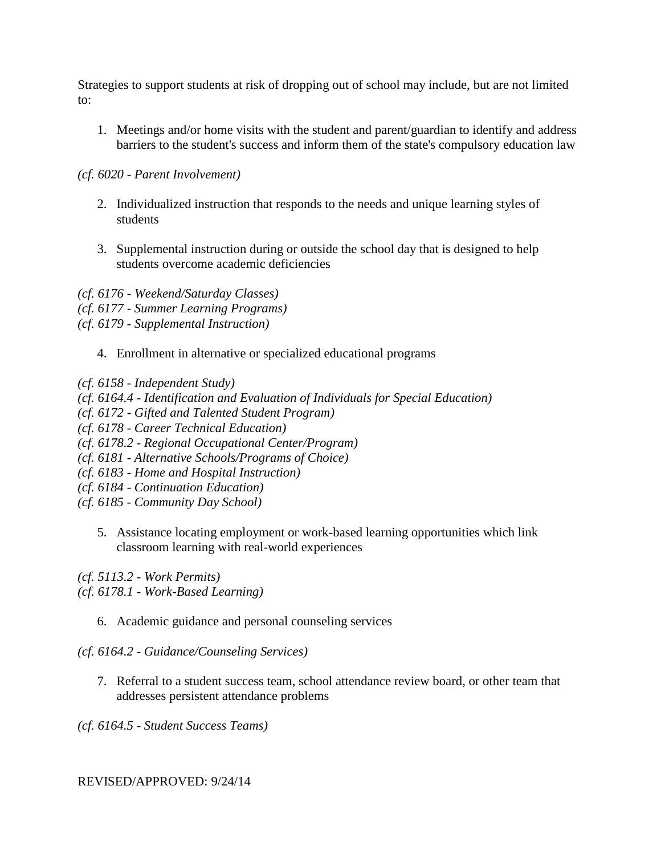Strategies to support students at risk of dropping out of school may include, but are not limited to:

1. Meetings and/or home visits with the student and parent/guardian to identify and address barriers to the student's success and inform them of the state's compulsory education law

## *(cf. 6020 - Parent Involvement)*

- 2. Individualized instruction that responds to the needs and unique learning styles of students
- 3. Supplemental instruction during or outside the school day that is designed to help students overcome academic deficiencies

*(cf. 6176 - Weekend/Saturday Classes) (cf. 6177 - Summer Learning Programs) (cf. 6179 - Supplemental Instruction)*

4. Enrollment in alternative or specialized educational programs

*(cf. 6158 - Independent Study)*

*(cf. 6164.4 - Identification and Evaluation of Individuals for Special Education)*

*(cf. 6172 - Gifted and Talented Student Program)*

*(cf. 6178 - Career Technical Education)*

- *(cf. 6178.2 - Regional Occupational Center/Program)*
- *(cf. 6181 - Alternative Schools/Programs of Choice)*
- *(cf. 6183 - Home and Hospital Instruction)*
- *(cf. 6184 - Continuation Education)*
- *(cf. 6185 - Community Day School)*
	- 5. Assistance locating employment or work-based learning opportunities which link classroom learning with real-world experiences

*(cf. 5113.2 - Work Permits)*

*(cf. 6178.1 - Work-Based Learning)*

6. Academic guidance and personal counseling services

*(cf. 6164.2 - Guidance/Counseling Services)*

7. Referral to a student success team, school attendance review board, or other team that addresses persistent attendance problems

*(cf. 6164.5 - Student Success Teams)*

REVISED/APPROVED: 9/24/14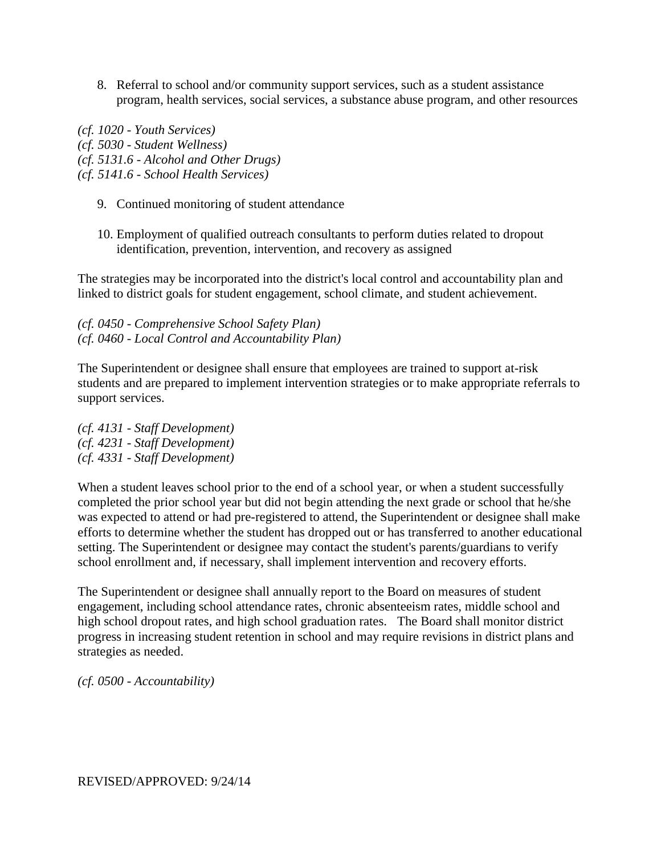8. Referral to school and/or community support services, such as a student assistance program, health services, social services, a substance abuse program, and other resources

*(cf. 1020 - Youth Services) (cf. 5030 - Student Wellness) (cf. 5131.6 - Alcohol and Other Drugs) (cf. 5141.6 - School Health Services)*

- 9. Continued monitoring of student attendance
- 10. Employment of qualified outreach consultants to perform duties related to dropout identification, prevention, intervention, and recovery as assigned

The strategies may be incorporated into the district's local control and accountability plan and linked to district goals for student engagement, school climate, and student achievement.

*(cf. 0450 - Comprehensive School Safety Plan) (cf. 0460 - Local Control and Accountability Plan)*

The Superintendent or designee shall ensure that employees are trained to support at-risk students and are prepared to implement intervention strategies or to make appropriate referrals to support services.

*(cf. 4131 - Staff Development) (cf. 4231 - Staff Development) (cf. 4331 - Staff Development)*

When a student leaves school prior to the end of a school year, or when a student successfully completed the prior school year but did not begin attending the next grade or school that he/she was expected to attend or had pre-registered to attend, the Superintendent or designee shall make efforts to determine whether the student has dropped out or has transferred to another educational setting. The Superintendent or designee may contact the student's parents/guardians to verify school enrollment and, if necessary, shall implement intervention and recovery efforts.

The Superintendent or designee shall annually report to the Board on measures of student engagement, including school attendance rates, chronic absenteeism rates, middle school and high school dropout rates, and high school graduation rates. The Board shall monitor district progress in increasing student retention in school and may require revisions in district plans and strategies as needed.

*(cf. 0500 - Accountability)*